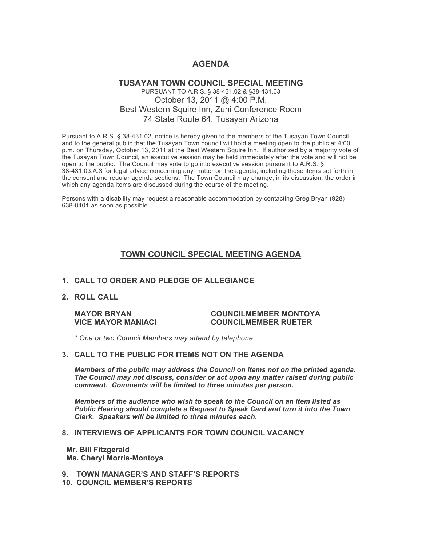# **AGENDA**

# **TUSAYAN TOWN COUNCIL SPECIAL MEETING** PURSUANT TO A.R.S. § 38-431.02 & §38-431.03 October 13, 2011 @ 4:00 P.M. Best Western Squire Inn, Zuni Conference Room 74 State Route 64, Tusayan Arizona

Pursuant to A.R.S. § 38-431.02, notice is hereby given to the members of the Tusayan Town Council and to the general public that the Tusayan Town council will hold a meeting open to the public at 4:00 p.m. on Thursday, October 13, 2011 at the Best Western Squire Inn. If authorized by a majority vote of the Tusayan Town Council, an executive session may be held immediately after the vote and will not be open to the public. The Council may vote to go into executive session pursuant to A.R.S. § 38-431.03.A.3 for legal advice concerning any matter on the agenda, including those items set forth in the consent and regular agenda sections. The Town Council may change, in its discussion, the order in which any agenda items are discussed during the course of the meeting.

Persons with a disability may request a reasonable accommodation by contacting Greg Bryan (928) 638-8401 as soon as possible.

# **TOWN COUNCIL SPECIAL MEETING AGENDA**

# **1. CALL TO ORDER AND PLEDGE OF ALLEGIANCE**

**2. ROLL CALL**

### **MAYOR BRYAN COUNCILMEMBER MONTOYA VICE MAYOR MANIACI COUNCILMEMBER RUETER**

*\* One or two Council Members may attend by telephone*

#### **3. CALL TO THE PUBLIC FOR ITEMS NOT ON THE AGENDA**

*Members of the public may address the Council* **o***n items not on the printed agenda. The Council may not discuss, consider or act upon any matter raised during public comment. Comments will be limited to three minutes per person.*

*Members of the audience who wish to speak to the Council on an item listed as Public Hearing should complete a Request to Speak Card and turn it into the Town Clerk. Speakers will be limited to three minutes each.*

## **8. INTERVIEWS OF APPLICANTS FOR TOWN COUNCIL VACANCY**

 **Mr. Bill Fitzgerald Ms. Cheryl Morris-Montoya**

- **9. TOWN MANAGER'S AND STAFF'S REPORTS**
- **10. COUNCIL MEMBER'S REPORTS**